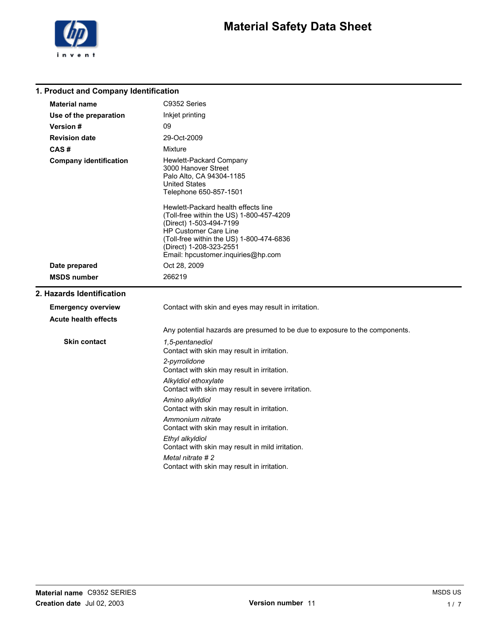

### 1. Product and Company Identification

| <b>Material name</b>          | C9352 Series                                                                                                                                                                                                                                            |
|-------------------------------|---------------------------------------------------------------------------------------------------------------------------------------------------------------------------------------------------------------------------------------------------------|
| Use of the preparation        | Inkjet printing                                                                                                                                                                                                                                         |
| <b>Version #</b>              | 09                                                                                                                                                                                                                                                      |
| <b>Revision date</b>          | 29-Oct-2009                                                                                                                                                                                                                                             |
| CAS#                          | Mixture                                                                                                                                                                                                                                                 |
| <b>Company identification</b> | Hewlett-Packard Company<br>3000 Hanover Street<br>Palo Alto, CA 94304-1185<br><b>United States</b><br>Telephone 650-857-1501                                                                                                                            |
|                               | Hewlett-Packard health effects line<br>(Toll-free within the US) 1-800-457-4209<br>(Direct) 1-503-494-7199<br><b>HP Customer Care Line</b><br>(Toll-free within the US) 1-800-474-6836<br>(Direct) 1-208-323-2551<br>Email: hpcustomer.inquiries@hp.com |
| Date prepared                 | Oct 28, 2009                                                                                                                                                                                                                                            |
| <b>MSDS number</b>            | 266219                                                                                                                                                                                                                                                  |
| 2. Hazards Identification     |                                                                                                                                                                                                                                                         |
| <b>Emergency overview</b>     | Contact with skin and eyes may result in irritation.                                                                                                                                                                                                    |
| <b>Acute health effects</b>   |                                                                                                                                                                                                                                                         |
|                               | Any potential hazards are presumed to be due to exposure to the components.                                                                                                                                                                             |
| <b>Skin contact</b>           | 1,5-pentanediol<br>Contact with skin may result in irritation.<br>2-pyrrolidone                                                                                                                                                                         |
|                               | Contact with skin may result in irritation.                                                                                                                                                                                                             |
|                               | Alkyldiol ethoxylate<br>Contact with skin may result in severe irritation.                                                                                                                                                                              |
|                               | Amino alkyldiol                                                                                                                                                                                                                                         |
|                               | Contact with skin may result in irritation.                                                                                                                                                                                                             |
|                               | Ammonium nitrate<br>Contact with skin may result in irritation.                                                                                                                                                                                         |
|                               | Ethyl alkyldiol<br>Contact with skin may result in mild irritation.                                                                                                                                                                                     |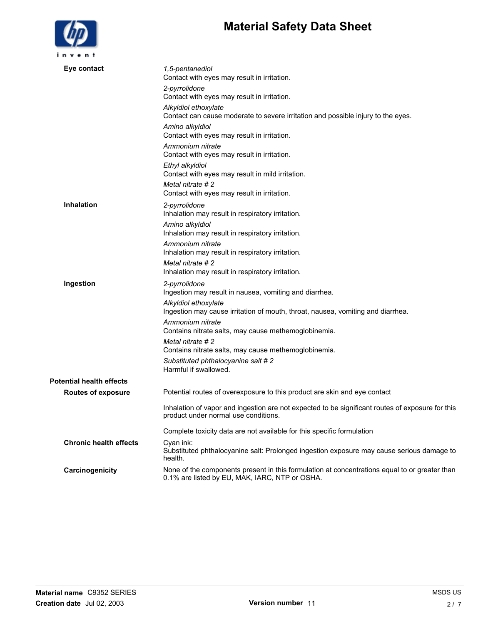

| Eye contact                     | 1,5-pentanediol<br>Contact with eyes may result in irritation.                                                                                  |
|---------------------------------|-------------------------------------------------------------------------------------------------------------------------------------------------|
|                                 | 2-pyrrolidone                                                                                                                                   |
|                                 | Contact with eyes may result in irritation.<br>Alkyldiol ethoxylate                                                                             |
|                                 | Contact can cause moderate to severe irritation and possible injury to the eyes.                                                                |
|                                 | Amino alkyldiol<br>Contact with eyes may result in irritation.                                                                                  |
|                                 | Ammonium nitrate<br>Contact with eyes may result in irritation.                                                                                 |
|                                 | Ethyl alkyldiol<br>Contact with eyes may result in mild irritation.                                                                             |
|                                 | Metal nitrate #2<br>Contact with eyes may result in irritation.                                                                                 |
| <b>Inhalation</b>               | 2-pyrrolidone<br>Inhalation may result in respiratory irritation.                                                                               |
|                                 | Amino alkyldiol<br>Inhalation may result in respiratory irritation.                                                                             |
|                                 | Ammonium nitrate<br>Inhalation may result in respiratory irritation.                                                                            |
|                                 | Metal nitrate # 2<br>Inhalation may result in respiratory irritation.                                                                           |
| Ingestion                       | 2-pyrrolidone<br>Ingestion may result in nausea, vomiting and diarrhea.                                                                         |
|                                 | Alkyldiol ethoxylate<br>Ingestion may cause irritation of mouth, throat, nausea, vomiting and diarrhea.                                         |
|                                 | Ammonium nitrate<br>Contains nitrate salts, may cause methemoglobinemia.                                                                        |
|                                 | Metal nitrate #2<br>Contains nitrate salts, may cause methemoglobinemia.                                                                        |
|                                 | Substituted phthalocyanine salt # 2<br>Harmful if swallowed.                                                                                    |
| <b>Potential health effects</b> |                                                                                                                                                 |
| <b>Routes of exposure</b>       | Potential routes of overexposure to this product are skin and eye contact                                                                       |
|                                 | Inhalation of vapor and ingestion are not expected to be significant routes of exposure for this<br>product under normal use conditions.        |
|                                 | Complete toxicity data are not available for this specific formulation                                                                          |
| <b>Chronic health effects</b>   | Cyan ink:<br>Substituted phthalocyanine salt: Prolonged ingestion exposure may cause serious damage to<br>health.                               |
| Carcinogenicity                 | None of the components present in this formulation at concentrations equal to or greater than<br>0.1% are listed by EU, MAK, IARC, NTP or OSHA. |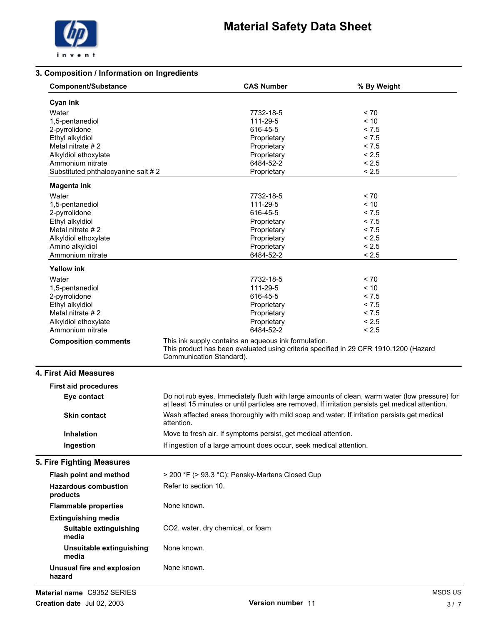

### 3. Composition / Information on Ingredients

| <b>Component/Substance</b>                  |                                   | <b>CAS Number</b>                                                  | % By Weight                                                                                       |
|---------------------------------------------|-----------------------------------|--------------------------------------------------------------------|---------------------------------------------------------------------------------------------------|
| Cyan ink                                    |                                   |                                                                    |                                                                                                   |
| Water                                       |                                   | 7732-18-5                                                          | < 70                                                                                              |
| 1,5-pentanediol                             |                                   | 111-29-5                                                           | < 10                                                                                              |
| 2-pyrrolidone                               |                                   | 616-45-5                                                           | < 7.5                                                                                             |
| Ethyl alkyldiol                             |                                   | Proprietary                                                        | < 7.5                                                                                             |
| Metal nitrate #2                            |                                   | Proprietary                                                        | < 7.5                                                                                             |
| Alkyldiol ethoxylate                        |                                   | Proprietary                                                        | < 2.5                                                                                             |
| Ammonium nitrate                            |                                   | 6484-52-2                                                          | < 2.5                                                                                             |
| Substituted phthalocyanine salt #2          |                                   | Proprietary                                                        | < 2.5                                                                                             |
| Magenta ink                                 |                                   |                                                                    |                                                                                                   |
| Water                                       |                                   | 7732-18-5                                                          | < 70                                                                                              |
| 1,5-pentanediol                             |                                   | 111-29-5                                                           | < 10                                                                                              |
| 2-pyrrolidone                               |                                   | 616-45-5                                                           | < 7.5                                                                                             |
| Ethyl alkyldiol                             |                                   | Proprietary                                                        | < 7.5                                                                                             |
| Metal nitrate #2                            |                                   | Proprietary                                                        | < 7.5                                                                                             |
| Alkyldiol ethoxylate                        |                                   | Proprietary                                                        | < 2.5                                                                                             |
| Amino alkyldiol                             |                                   | Proprietary                                                        | < 2.5                                                                                             |
| Ammonium nitrate                            |                                   | 6484-52-2                                                          | < 2.5                                                                                             |
| <b>Yellow ink</b>                           |                                   |                                                                    |                                                                                                   |
| Water                                       |                                   | 7732-18-5                                                          | < 70                                                                                              |
| 1,5-pentanediol                             |                                   | 111-29-5                                                           | < 10                                                                                              |
| 2-pyrrolidone                               |                                   | 616-45-5                                                           | < 7.5                                                                                             |
| Ethyl alkyldiol                             |                                   | Proprietary                                                        | < 7.5                                                                                             |
| Metal nitrate #2                            |                                   | Proprietary                                                        | < 7.5                                                                                             |
| Alkyldiol ethoxylate                        |                                   | Proprietary                                                        | < 2.5                                                                                             |
| Ammonium nitrate                            |                                   | 6484-52-2                                                          | < 2.5                                                                                             |
| <b>Composition comments</b>                 | Communication Standard).          | This ink supply contains an aqueous ink formulation.               | This product has been evaluated using criteria specified in 29 CFR 1910.1200 (Hazard              |
| 4. First Aid Measures                       |                                   |                                                                    |                                                                                                   |
| <b>First aid procedures</b>                 |                                   |                                                                    |                                                                                                   |
| Eye contact                                 |                                   |                                                                    | Do not rub eyes. Immediately flush with large amounts of clean, warm water (low pressure) for     |
|                                             |                                   |                                                                    | at least 15 minutes or until particles are removed. If irritation persists get medical attention. |
| <b>Skin contact</b>                         | attention.                        |                                                                    | Wash affected areas thoroughly with mild soap and water. If irritation persists get medical       |
| <b>Inhalation</b>                           |                                   | Move to fresh air. If symptoms persist, get medical attention.     |                                                                                                   |
| Ingestion                                   |                                   | If ingestion of a large amount does occur, seek medical attention. |                                                                                                   |
| 5. Fire Fighting Measures                   |                                   |                                                                    |                                                                                                   |
| Flash point and method                      |                                   | > 200 °F (> 93.3 °C); Pensky-Martens Closed Cup                    |                                                                                                   |
| <b>Hazardous combustion</b>                 | Refer to section 10.              |                                                                    |                                                                                                   |
| products                                    |                                   |                                                                    |                                                                                                   |
| <b>Flammable properties</b>                 | None known.                       |                                                                    |                                                                                                   |
| <b>Extinguishing media</b>                  |                                   |                                                                    |                                                                                                   |
| Suitable extinguishing<br>media             | CO2, water, dry chemical, or foam |                                                                    |                                                                                                   |
| Unsuitable extinguishing<br>media           | None known.                       |                                                                    |                                                                                                   |
| <b>Unusual fire and explosion</b><br>hazard | None known.                       |                                                                    |                                                                                                   |
|                                             |                                   |                                                                    |                                                                                                   |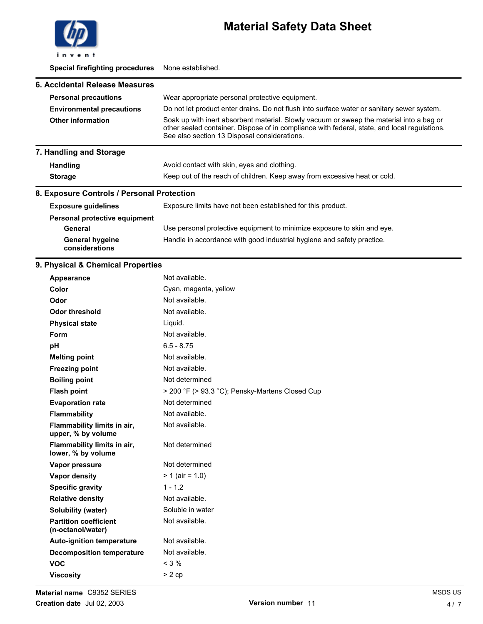

Special firefighting procedures None established.

| 6. Accidental Release Measures             |                                                                                                                                                                                                                                          |  |
|--------------------------------------------|------------------------------------------------------------------------------------------------------------------------------------------------------------------------------------------------------------------------------------------|--|
| <b>Personal precautions</b>                | Wear appropriate personal protective equipment.                                                                                                                                                                                          |  |
| <b>Environmental precautions</b>           | Do not let product enter drains. Do not flush into surface water or sanitary sewer system.                                                                                                                                               |  |
| <b>Other information</b>                   | Soak up with inert absorbent material. Slowly vacuum or sweep the material into a bag or<br>other sealed container. Dispose of in compliance with federal, state, and local regulations.<br>See also section 13 Disposal considerations. |  |
| 7. Handling and Storage                    |                                                                                                                                                                                                                                          |  |
| <b>Handling</b>                            | Avoid contact with skin, eyes and clothing.                                                                                                                                                                                              |  |
| <b>Storage</b>                             | Keep out of the reach of children. Keep away from excessive heat or cold.                                                                                                                                                                |  |
| 8. Exposure Controls / Personal Protection |                                                                                                                                                                                                                                          |  |
| <b>Exposure guidelines</b>                 | Exposure limits have not been established for this product.                                                                                                                                                                              |  |
|                                            |                                                                                                                                                                                                                                          |  |

| Personal protective equipment            |                                                                         |
|------------------------------------------|-------------------------------------------------------------------------|
| General                                  | Use personal protective equipment to minimize exposure to skin and eye. |
| <b>General hygeine</b><br>considerations | Handle in accordance with good industrial hygiene and safety practice.  |

#### 9. Physical & Chemical Properties

| Appearance                                        | Not available.                                  |
|---------------------------------------------------|-------------------------------------------------|
| Color                                             | Cyan, magenta, yellow                           |
| Odor                                              | Not available.                                  |
| <b>Odor threshold</b>                             | Not available.                                  |
| <b>Physical state</b>                             | Liquid.                                         |
| <b>Form</b>                                       | Not available.                                  |
| рH                                                | $6.5 - 8.75$                                    |
| <b>Melting point</b>                              | Not available.                                  |
| <b>Freezing point</b>                             | Not available.                                  |
| <b>Boiling point</b>                              | Not determined                                  |
| <b>Flash point</b>                                | > 200 °F (> 93.3 °C); Pensky-Martens Closed Cup |
| <b>Evaporation rate</b>                           | Not determined                                  |
| <b>Flammability</b>                               | Not available.                                  |
| Flammability limits in air,<br>upper, % by volume | Not available.                                  |
| Flammability limits in air,<br>lower, % by volume | Not determined                                  |
| Vapor pressure                                    | Not determined                                  |
| <b>Vapor density</b>                              | $> 1$ (air = 1.0)                               |
| <b>Specific gravity</b>                           | $1 - 1.2$                                       |
| <b>Relative density</b>                           | Not available.                                  |
| Solubility (water)                                | Soluble in water                                |
| <b>Partition coefficient</b><br>(n-octanol/water) | Not available.                                  |
| <b>Auto-ignition temperature</b>                  | Not available.                                  |
| <b>Decomposition temperature</b>                  | Not available.                                  |
| <b>VOC</b>                                        | $< 3 \%$                                        |
| <b>Viscosity</b>                                  | > 2 cp                                          |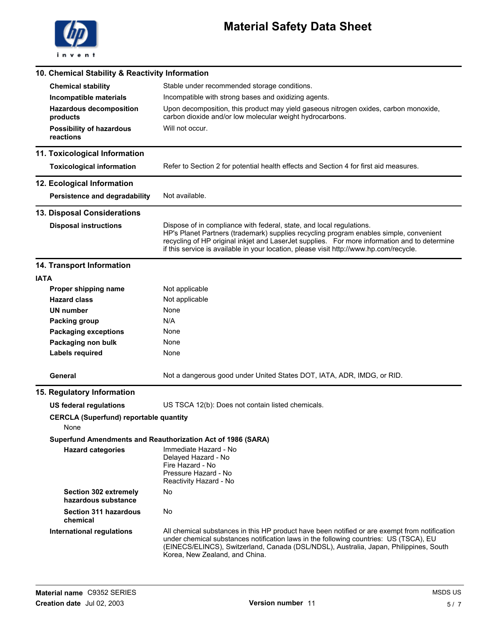

| 10. Chemical Stability & Reactivity Information       |                                                                                                                                                                                                                                                                                                                                                          |
|-------------------------------------------------------|----------------------------------------------------------------------------------------------------------------------------------------------------------------------------------------------------------------------------------------------------------------------------------------------------------------------------------------------------------|
| <b>Chemical stability</b>                             | Stable under recommended storage conditions.                                                                                                                                                                                                                                                                                                             |
| Incompatible materials                                | Incompatible with strong bases and oxidizing agents.                                                                                                                                                                                                                                                                                                     |
| <b>Hazardous decomposition</b><br>products            | Upon decomposition, this product may yield gaseous nitrogen oxides, carbon monoxide,<br>carbon dioxide and/or low molecular weight hydrocarbons.                                                                                                                                                                                                         |
| <b>Possibility of hazardous</b><br>reactions          | Will not occur.                                                                                                                                                                                                                                                                                                                                          |
| 11. Toxicological Information                         |                                                                                                                                                                                                                                                                                                                                                          |
| <b>Toxicological information</b>                      | Refer to Section 2 for potential health effects and Section 4 for first aid measures.                                                                                                                                                                                                                                                                    |
| 12. Ecological Information                            |                                                                                                                                                                                                                                                                                                                                                          |
| Persistence and degradability                         | Not available.                                                                                                                                                                                                                                                                                                                                           |
| 13. Disposal Considerations                           |                                                                                                                                                                                                                                                                                                                                                          |
| <b>Disposal instructions</b>                          | Dispose of in compliance with federal, state, and local regulations.<br>HP's Planet Partners (trademark) supplies recycling program enables simple, convenient<br>recycling of HP original inkjet and LaserJet supplies. For more information and to determine<br>if this service is available in your location, please visit http://www.hp.com/recycle. |
| 14. Transport Information                             |                                                                                                                                                                                                                                                                                                                                                          |
| <b>IATA</b>                                           |                                                                                                                                                                                                                                                                                                                                                          |
| Proper shipping name                                  | Not applicable                                                                                                                                                                                                                                                                                                                                           |
| <b>Hazard class</b>                                   | Not applicable                                                                                                                                                                                                                                                                                                                                           |
| UN number                                             | None                                                                                                                                                                                                                                                                                                                                                     |
| <b>Packing group</b>                                  | N/A                                                                                                                                                                                                                                                                                                                                                      |
| <b>Packaging exceptions</b>                           | None                                                                                                                                                                                                                                                                                                                                                     |
| Packaging non bulk                                    | None                                                                                                                                                                                                                                                                                                                                                     |
| Labels required                                       | None                                                                                                                                                                                                                                                                                                                                                     |
| General                                               | Not a dangerous good under United States DOT, IATA, ADR, IMDG, or RID.                                                                                                                                                                                                                                                                                   |
| 15. Regulatory Information                            |                                                                                                                                                                                                                                                                                                                                                          |
| <b>US federal regulations</b>                         | US TSCA 12(b): Does not contain listed chemicals.                                                                                                                                                                                                                                                                                                        |
| <b>CERCLA (Superfund) reportable quantity</b><br>None |                                                                                                                                                                                                                                                                                                                                                          |
|                                                       | Superfund Amendments and Reauthorization Act of 1986 (SARA)                                                                                                                                                                                                                                                                                              |
| <b>Hazard categories</b>                              | Immediate Hazard - No<br>Delayed Hazard - No<br>Fire Hazard - No<br>Pressure Hazard - No<br>Reactivity Hazard - No                                                                                                                                                                                                                                       |
| <b>Section 302 extremely</b><br>hazardous substance   | No                                                                                                                                                                                                                                                                                                                                                       |
| <b>Section 311 hazardous</b><br>chemical              | No                                                                                                                                                                                                                                                                                                                                                       |
| <b>International regulations</b>                      | All chemical substances in this HP product have been notified or are exempt from notification<br>under chemical substances notification laws in the following countries: US (TSCA), EU<br>(EINECS/ELINCS), Switzerland, Canada (DSL/NDSL), Australia, Japan, Philippines, South<br>Korea, New Zealand, and China.                                        |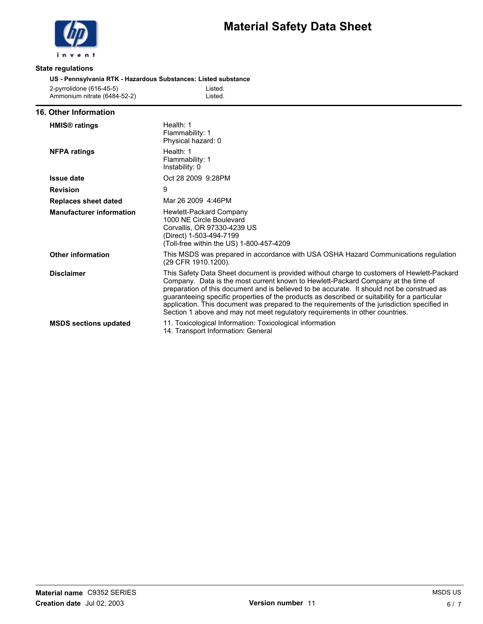



#### State regulations

US - Pennsylvania RTK - Hazardous Substances: Listed substance

| 2-pyrrolidone (616-45-5)<br>'.isted.<br>Ammonium nitrate (6484-52-2)<br>_isted. |  |
|---------------------------------------------------------------------------------|--|
|                                                                                 |  |

# 16. Other Information

| HMIS <sup>®</sup> ratings       | Health: 1<br>Flammability: 1<br>Physical hazard: 0                                                                                                                                                                                                                                                                                                                                                                                                                                                                                                             |
|---------------------------------|----------------------------------------------------------------------------------------------------------------------------------------------------------------------------------------------------------------------------------------------------------------------------------------------------------------------------------------------------------------------------------------------------------------------------------------------------------------------------------------------------------------------------------------------------------------|
| <b>NFPA ratings</b>             | Health: 1<br>Flammability: 1<br>Instability: 0                                                                                                                                                                                                                                                                                                                                                                                                                                                                                                                 |
| <b>Issue date</b>               | Oct 28 2009 9:28PM                                                                                                                                                                                                                                                                                                                                                                                                                                                                                                                                             |
| <b>Revision</b>                 | 9                                                                                                                                                                                                                                                                                                                                                                                                                                                                                                                                                              |
| <b>Replaces sheet dated</b>     | Mar 26 2009 4:46PM                                                                                                                                                                                                                                                                                                                                                                                                                                                                                                                                             |
| <b>Manufacturer information</b> | Hewlett-Packard Company<br>1000 NE Circle Boulevard<br>Corvallis, OR 97330-4239 US<br>(Direct) 1-503-494-7199<br>(Toll-free within the US) 1-800-457-4209                                                                                                                                                                                                                                                                                                                                                                                                      |
| <b>Other information</b>        | This MSDS was prepared in accordance with USA OSHA Hazard Communications regulation<br>(29 CFR 1910.1200).                                                                                                                                                                                                                                                                                                                                                                                                                                                     |
| <b>Disclaimer</b>               | This Safety Data Sheet document is provided without charge to customers of Hewlett-Packard<br>Company. Data is the most current known to Hewlett-Packard Company at the time of<br>preparation of this document and is believed to be accurate. It should not be construed as<br>guaranteeing specific properties of the products as described or suitability for a particular<br>application. This document was prepared to the requirements of the jurisdiction specified in<br>Section 1 above and may not meet regulatory requirements in other countries. |
| <b>MSDS</b> sections updated    | 11. Toxicological Information: Toxicological information<br>14. Transport Information: General                                                                                                                                                                                                                                                                                                                                                                                                                                                                 |